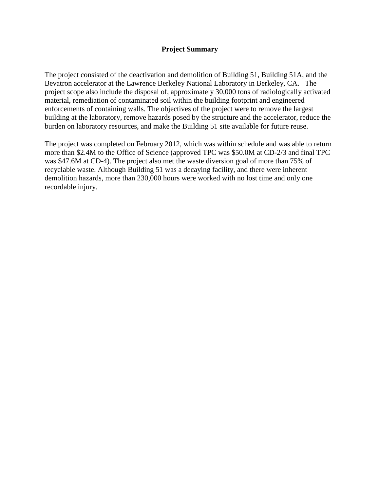#### **Project Summary**

The project consisted of the deactivation and demolition of Building 51, Building 51A, and the Bevatron accelerator at the Lawrence Berkeley National Laboratory in Berkeley, CA. The project scope also include the disposal of, approximately 30,000 tons of radiologically activated material, remediation of contaminated soil within the building footprint and engineered enforcements of containing walls. The objectives of the project were to remove the largest building at the laboratory, remove hazards posed by the structure and the accelerator, reduce the burden on laboratory resources, and make the Building 51 site available for future reuse.

The project was completed on February 2012, which was within schedule and was able to return more than \$2.4M to the Office of Science (approved TPC was \$50.0M at CD-2/3 and final TPC was \$47.6M at CD-4). The project also met the waste diversion goal of more than 75% of recyclable waste. Although Building 51 was a decaying facility, and there were inherent demolition hazards, more than 230,000 hours were worked with no lost time and only one recordable injury.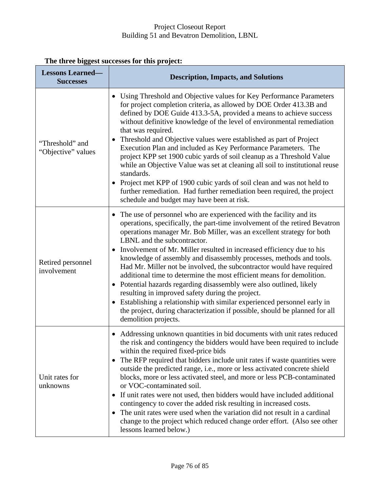| <b>Lessons Learned-</b><br><b>Successes</b> | <b>Description, Impacts, and Solutions</b>                                                                                                                                                                                                                                                                                                                                                                                                                                                                                                                                                                                                                                                                                                                                                                                                                                |
|---------------------------------------------|---------------------------------------------------------------------------------------------------------------------------------------------------------------------------------------------------------------------------------------------------------------------------------------------------------------------------------------------------------------------------------------------------------------------------------------------------------------------------------------------------------------------------------------------------------------------------------------------------------------------------------------------------------------------------------------------------------------------------------------------------------------------------------------------------------------------------------------------------------------------------|
| "Threshold" and<br>"Objective" values       | Using Threshold and Objective values for Key Performance Parameters<br>for project completion criteria, as allowed by DOE Order 413.3B and<br>defined by DOE Guide 413.3-5A, provided a means to achieve success<br>without definitive knowledge of the level of environmental remediation<br>that was required.<br>Threshold and Objective values were established as part of Project<br>٠<br>Execution Plan and included as Key Performance Parameters. The<br>project KPP set 1900 cubic yards of soil cleanup as a Threshold Value<br>while an Objective Value was set at cleaning all soil to institutional reuse<br>standards.<br>Project met KPP of 1900 cubic yards of soil clean and was not held to<br>further remediation. Had further remediation been required, the project<br>schedule and budget may have been at risk.                                    |
| Retired personnel<br>involvement            | • The use of personnel who are experienced with the facility and its<br>operations, specifically, the part-time involvement of the retired Bevatron<br>operations manager Mr. Bob Miller, was an excellent strategy for both<br>LBNL and the subcontractor.<br>Involvement of Mr. Miller resulted in increased efficiency due to his<br>knowledge of assembly and disassembly processes, methods and tools.<br>Had Mr. Miller not be involved, the subcontractor would have required<br>additional time to determine the most efficient means for demolition.<br>Potential hazards regarding disassembly were also outlined, likely<br>resulting in improved safety during the project.<br>Establishing a relationship with similar experienced personnel early in<br>the project, during characterization if possible, should be planned for all<br>demolition projects. |
| Unit rates for<br>unknowns                  | Addressing unknown quantities in bid documents with unit rates reduced<br>the risk and contingency the bidders would have been required to include<br>within the required fixed-price bids<br>The RFP required that bidders include unit rates if waste quantities were<br>٠<br>outside the predicted range, i.e., more or less activated concrete shield<br>blocks, more or less activated steel, and more or less PCB-contaminated<br>or VOC-contaminated soil.<br>If unit rates were not used, then bidders would have included additional<br>contingency to cover the added risk resulting in increased costs.<br>The unit rates were used when the variation did not result in a cardinal<br>$\bullet$<br>change to the project which reduced change order effort. (Also see other<br>lessons learned below.)                                                        |

# **The three biggest successes for this project:**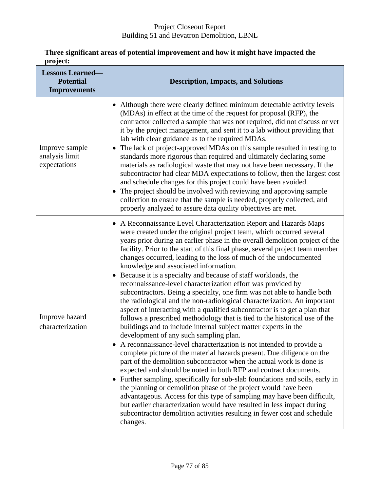| pi vjecu<br><b>Lessons Learned-</b><br><b>Potential</b><br><b>Improvements</b> | <b>Description, Impacts, and Solutions</b>                                                                                                                                                                                                                                                                                                                                                                                                                                                                                                                                                                                                                                                                                                                                                                                                                                                                                                                                                                                                                                                                                                                                                                                                                                                                                                                                                                                                                                                                                                                                                                                                                                                          |
|--------------------------------------------------------------------------------|-----------------------------------------------------------------------------------------------------------------------------------------------------------------------------------------------------------------------------------------------------------------------------------------------------------------------------------------------------------------------------------------------------------------------------------------------------------------------------------------------------------------------------------------------------------------------------------------------------------------------------------------------------------------------------------------------------------------------------------------------------------------------------------------------------------------------------------------------------------------------------------------------------------------------------------------------------------------------------------------------------------------------------------------------------------------------------------------------------------------------------------------------------------------------------------------------------------------------------------------------------------------------------------------------------------------------------------------------------------------------------------------------------------------------------------------------------------------------------------------------------------------------------------------------------------------------------------------------------------------------------------------------------------------------------------------------------|
| Improve sample<br>analysis limit<br>expectations                               | Although there were clearly defined minimum detectable activity levels<br>(MDAs) in effect at the time of the request for proposal (RFP), the<br>contractor collected a sample that was not required, did not discuss or vet<br>it by the project management, and sent it to a lab without providing that<br>lab with clear guidance as to the required MDAs.<br>The lack of project-approved MDAs on this sample resulted in testing to<br>standards more rigorous than required and ultimately declaring some<br>materials as radiological waste that may not have been necessary. If the<br>subcontractor had clear MDA expectations to follow, then the largest cost<br>and schedule changes for this project could have been avoided.<br>The project should be involved with reviewing and approving sample<br>$\bullet$<br>collection to ensure that the sample is needed, properly collected, and<br>properly analyzed to assure data quality objectives are met.                                                                                                                                                                                                                                                                                                                                                                                                                                                                                                                                                                                                                                                                                                                            |
| Improve hazard<br>characterization                                             | A Reconnaissance Level Characterization Report and Hazards Maps<br>were created under the original project team, which occurred several<br>years prior during an earlier phase in the overall demolition project of the<br>facility. Prior to the start of this final phase, several project team member<br>changes occurred, leading to the loss of much of the undocumented<br>knowledge and associated information.<br>Because it is a specialty and because of staff workloads, the<br>$\bullet$<br>reconnaissance-level characterization effort was provided by<br>subcontractors. Being a specialty, one firm was not able to handle both<br>the radiological and the non-radiological characterization. An important<br>aspect of interacting with a qualified subcontractor is to get a plan that<br>follows a prescribed methodology that is tied to the historical use of the<br>buildings and to include internal subject matter experts in the<br>development of any such sampling plan.<br>A reconnaissance-level characterization is not intended to provide a<br>complete picture of the material hazards present. Due diligence on the<br>part of the demolition subcontractor when the actual work is done is<br>expected and should be noted in both RFP and contract documents.<br>• Further sampling, specifically for sub-slab foundations and soils, early in<br>the planning or demolition phase of the project would have been<br>advantageous. Access for this type of sampling may have been difficult,<br>but earlier characterization would have resulted in less impact during<br>subcontractor demolition activities resulting in fewer cost and schedule<br>changes. |

#### **Three significant areas of potential improvement and how it might have impacted the project:**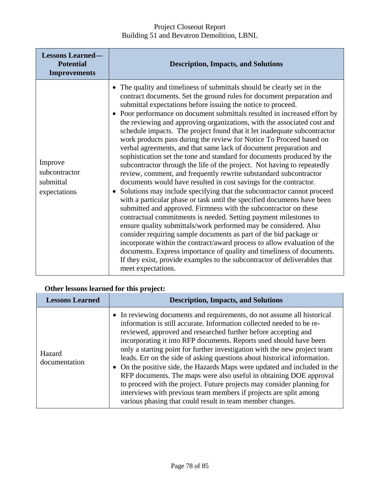| <b>Lessons Learned-</b><br><b>Potential</b><br><b>Improvements</b> | <b>Description, Impacts, and Solutions</b>                                                                                                                                                                                                                                                                                                                                                                                                                                                                                                                                                                                                                                                                                                                                                                                                                                                                                                                                                                                                                                                                                                                                                                                                                                                                                                                                                                                                                                                                                                                                                  |
|--------------------------------------------------------------------|---------------------------------------------------------------------------------------------------------------------------------------------------------------------------------------------------------------------------------------------------------------------------------------------------------------------------------------------------------------------------------------------------------------------------------------------------------------------------------------------------------------------------------------------------------------------------------------------------------------------------------------------------------------------------------------------------------------------------------------------------------------------------------------------------------------------------------------------------------------------------------------------------------------------------------------------------------------------------------------------------------------------------------------------------------------------------------------------------------------------------------------------------------------------------------------------------------------------------------------------------------------------------------------------------------------------------------------------------------------------------------------------------------------------------------------------------------------------------------------------------------------------------------------------------------------------------------------------|
| Improve<br>subcontractor<br>submittal<br>expectations              | The quality and timeliness of submittals should be clearly set in the<br>contract documents. Set the ground rules for document preparation and<br>submittal expectations before issuing the notice to proceed.<br>• Poor performance on document submittals resulted in increased effort by<br>the reviewing and approving organizations, with the associated cost and<br>schedule impacts. The project found that it let inadequate subcontractor<br>work products pass during the review for Notice To Proceed based on<br>verbal agreements, and that same lack of document preparation and<br>sophistication set the tone and standard for documents produced by the<br>subcontractor through the life of the project. Not having to repeatedly<br>review, comment, and frequently rewrite substandard subcontractor<br>documents would have resulted in cost savings for the contractor.<br>Solutions may include specifying that the subcontractor cannot proceed<br>with a particular phase or task until the specified documents have been<br>submitted and approved. Firmness with the subcontractor on these<br>contractual commitments is needed. Setting payment milestones to<br>ensure quality submittals/work performed may be considered. Also<br>consider requiring sample documents as part of the bid package or<br>incorporate within the contract/award process to allow evaluation of the<br>documents. Express importance of quality and timeliness of documents.<br>If they exist, provide examples to the subcontractor of deliverables that<br>meet expectations. |

# **Other lessons learned for this project:**

| <b>Lessons Learned</b>  | <b>Description, Impacts, and Solutions</b>                                                                                                                                                                                                                                                                                                                                                                                                                                                                                                                                                                                                                                                                                                                                                                       |
|-------------------------|------------------------------------------------------------------------------------------------------------------------------------------------------------------------------------------------------------------------------------------------------------------------------------------------------------------------------------------------------------------------------------------------------------------------------------------------------------------------------------------------------------------------------------------------------------------------------------------------------------------------------------------------------------------------------------------------------------------------------------------------------------------------------------------------------------------|
| Hazard<br>documentation | • In reviewing documents and requirements, do not assume all historical<br>information is still accurate. Information collected needed to be re-<br>reviewed, approved and researched further before accepting and<br>incorporating it into RFP documents. Reports used should have been<br>only a starting point for further investigation with the new project team<br>leads. Err on the side of asking questions about historical information.<br>• On the positive side, the Hazards Maps were updated and included in the<br>RFP documents. The maps were also useful in obtaining DOE approval<br>to proceed with the project. Future projects may consider planning for<br>interviews with previous team members if projects are split among<br>various phasing that could result in team member changes. |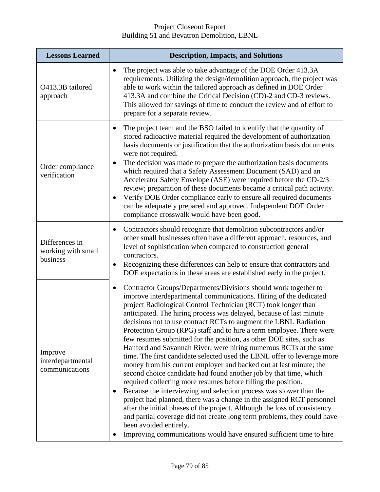| <b>Lessons Learned</b>                           | <b>Description, Impacts, and Solutions</b>                                                                                                                                                                                                                                                                                                                                                                                                                                                                                                                                                                                                                                                                                                                                                                                                                                                                                                                                                                                                                                                                                                                                                                                                                                             |
|--------------------------------------------------|----------------------------------------------------------------------------------------------------------------------------------------------------------------------------------------------------------------------------------------------------------------------------------------------------------------------------------------------------------------------------------------------------------------------------------------------------------------------------------------------------------------------------------------------------------------------------------------------------------------------------------------------------------------------------------------------------------------------------------------------------------------------------------------------------------------------------------------------------------------------------------------------------------------------------------------------------------------------------------------------------------------------------------------------------------------------------------------------------------------------------------------------------------------------------------------------------------------------------------------------------------------------------------------|
| O413.3B tailored<br>approach                     | The project was able to take advantage of the DOE Order 413.3A<br>$\bullet$<br>requirements. Utilizing the design/demolition approach, the project was<br>able to work within the tailored approach as defined in DOE Order<br>413.3A and combine the Critical Decision (CD)-2 and CD-3 reviews.<br>This allowed for savings of time to conduct the review and of effort to<br>prepare for a separate review.                                                                                                                                                                                                                                                                                                                                                                                                                                                                                                                                                                                                                                                                                                                                                                                                                                                                          |
| Order compliance<br>verification                 | The project team and the BSO failed to identify that the quantity of<br>$\bullet$<br>stored radioactive material required the development of authorization<br>basis documents or justification that the authorization basis documents<br>were not required.<br>The decision was made to prepare the authorization basis documents<br>which required that a Safety Assessment Document (SAD) and an<br>Accelerator Safety Envelope (ASE) were required before the CD-2/3<br>review; preparation of these documents became a critical path activity.<br>Verify DOE Order compliance early to ensure all required documents<br>can be adequately prepared and approved. Independent DOE Order<br>compliance crosswalk would have been good.                                                                                                                                                                                                                                                                                                                                                                                                                                                                                                                                               |
| Differences in<br>working with small<br>business | Contractors should recognize that demolition subcontractors and/or<br>$\bullet$<br>other small businesses often have a different approach, resources, and<br>level of sophistication when compared to construction general<br>contractors.<br>Recognizing these differences can help to ensure that contractors and<br>$\bullet$<br>DOE expectations in these areas are established early in the project.                                                                                                                                                                                                                                                                                                                                                                                                                                                                                                                                                                                                                                                                                                                                                                                                                                                                              |
| Improve<br>interdepartmental<br>communications   | Contractor Groups/Departments/Divisions should work together to<br>٠<br>improve interdepartmental communications. Hiring of the dedicated<br>project Radiological Control Technician (RCT) took longer than<br>anticipated. The hiring process was delayed, because of last minute<br>decisions not to use contract RCTs to augment the LBNL Radiation<br>Protection Group (RPG) staff and to hire a term employee. There were<br>few resumes submitted for the position, as other DOE sites, such as<br>Hanford and Savannah River, were hiring numerous RCTs at the same<br>time. The first candidate selected used the LBNL offer to leverage more<br>money from his current employer and backed out at last minute; the<br>second choice candidate had found another job by that time, which<br>required collecting more resumes before filling the position.<br>Because the interviewing and selection process was slower than the<br>project had planned, there was a change in the assigned RCT personnel<br>after the initial phases of the project. Although the loss of consistency<br>and partial coverage did not create long term problems, they could have<br>been avoided entirely.<br>Improving communications would have ensured sufficient time to hire<br>$\bullet$ |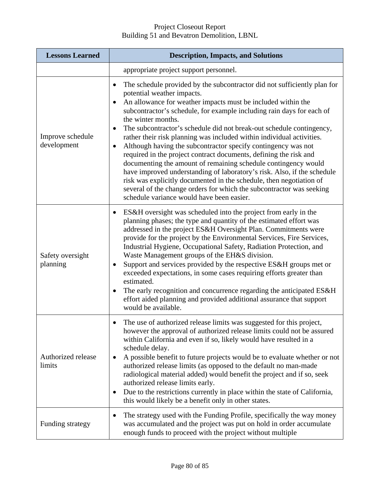| <b>Lessons Learned</b>          | <b>Description, Impacts, and Solutions</b>                                                                                                                                                                                                                                                                                                                                                                                                                                                                                                                                                                                                                                                                                                                                                                                                                                                                              |
|---------------------------------|-------------------------------------------------------------------------------------------------------------------------------------------------------------------------------------------------------------------------------------------------------------------------------------------------------------------------------------------------------------------------------------------------------------------------------------------------------------------------------------------------------------------------------------------------------------------------------------------------------------------------------------------------------------------------------------------------------------------------------------------------------------------------------------------------------------------------------------------------------------------------------------------------------------------------|
|                                 | appropriate project support personnel.                                                                                                                                                                                                                                                                                                                                                                                                                                                                                                                                                                                                                                                                                                                                                                                                                                                                                  |
| Improve schedule<br>development | The schedule provided by the subcontractor did not sufficiently plan for<br>$\bullet$<br>potential weather impacts.<br>An allowance for weather impacts must be included within the<br>subcontractor's schedule, for example including rain days for each of<br>the winter months.<br>The subcontractor's schedule did not break-out schedule contingency,<br>٠<br>rather their risk planning was included within individual activities.<br>Although having the subcontractor specify contingency was not<br>required in the project contract documents, defining the risk and<br>documenting the amount of remaining schedule contingency would<br>have improved understanding of laboratory's risk. Also, if the schedule<br>risk was explicitly documented in the schedule, then negotiation of<br>several of the change orders for which the subcontractor was seeking<br>schedule variance would have been easier. |
| Safety oversight<br>planning    | ES&H oversight was scheduled into the project from early in the<br>$\bullet$<br>planning phases; the type and quantity of the estimated effort was<br>addressed in the project ES&H Oversight Plan. Commitments were<br>provide for the project by the Environmental Services, Fire Services,<br>Industrial Hygiene, Occupational Safety, Radiation Protection, and<br>Waste Management groups of the EH&S division.<br>Support and services provided by the respective ES&H groups met or<br>exceeded expectations, in some cases requiring efforts greater than<br>estimated.<br>The early recognition and concurrence regarding the anticipated ES&H<br>effort aided planning and provided additional assurance that support<br>would be available.                                                                                                                                                                  |
| Authorized release<br>limits    | The use of authorized release limits was suggested for this project,<br>$\bullet$<br>however the approval of authorized release limits could not be assured<br>within California and even if so, likely would have resulted in a<br>schedule delay.<br>A possible benefit to future projects would be to evaluate whether or not<br>authorized release limits (as opposed to the default no man-made<br>radiological material added) would benefit the project and if so, seek<br>authorized release limits early.<br>Due to the restrictions currently in place within the state of California,<br>this would likely be a benefit only in other states.                                                                                                                                                                                                                                                                |
| Funding strategy                | The strategy used with the Funding Profile, specifically the way money<br>٠<br>was accumulated and the project was put on hold in order accumulate<br>enough funds to proceed with the project without multiple                                                                                                                                                                                                                                                                                                                                                                                                                                                                                                                                                                                                                                                                                                         |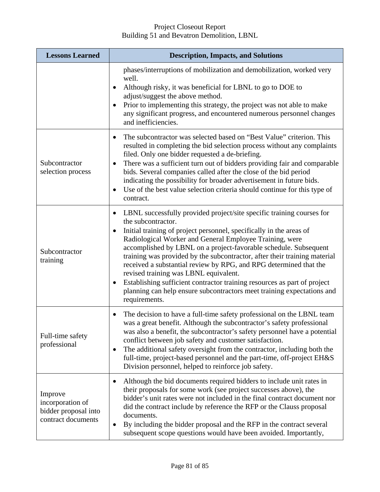| <b>Lessons Learned</b>                                                    | <b>Description, Impacts, and Solutions</b>                                                                                                                                                                                                                                                                                                                                                                                                                                                                                                                                                                                                                                            |
|---------------------------------------------------------------------------|---------------------------------------------------------------------------------------------------------------------------------------------------------------------------------------------------------------------------------------------------------------------------------------------------------------------------------------------------------------------------------------------------------------------------------------------------------------------------------------------------------------------------------------------------------------------------------------------------------------------------------------------------------------------------------------|
|                                                                           | phases/interruptions of mobilization and demobilization, worked very<br>well.<br>Although risky, it was beneficial for LBNL to go to DOE to<br>٠<br>adjust/suggest the above method.<br>Prior to implementing this strategy, the project was not able to make<br>any significant progress, and encountered numerous personnel changes<br>and inefficiencies.                                                                                                                                                                                                                                                                                                                          |
| Subcontractor<br>selection process                                        | The subcontractor was selected based on "Best Value" criterion. This<br>$\bullet$<br>resulted in completing the bid selection process without any complaints<br>filed. Only one bidder requested a de-briefing.<br>There was a sufficient turn out of bidders providing fair and comparable<br>$\bullet$<br>bids. Several companies called after the close of the bid period<br>indicating the possibility for broader advertisement in future bids.<br>Use of the best value selection criteria should continue for this type of<br>contract.                                                                                                                                        |
| Subcontractor<br>training                                                 | LBNL successfully provided project/site specific training courses for<br>$\bullet$<br>the subcontractor.<br>Initial training of project personnel, specifically in the areas of<br>Radiological Worker and General Employee Training, were<br>accomplished by LBNL on a project-favorable schedule. Subsequent<br>training was provided by the subcontractor, after their training material<br>received a substantial review by RPG, and RPG determined that the<br>revised training was LBNL equivalent.<br>Establishing sufficient contractor training resources as part of project<br>٠<br>planning can help ensure subcontractors meet training expectations and<br>requirements. |
| Full-time safety<br>professional                                          | The decision to have a full-time safety professional on the LBNL team<br>was a great benefit. Although the subcontractor's safety professional<br>was also a benefit, the subcontractor's safety personnel have a potential<br>conflict between job safety and customer satisfaction.<br>The additional safety oversight from the contractor, including both the<br>٠<br>full-time, project-based personnel and the part-time, off-project EH&S<br>Division personnel, helped to reinforce job safety.                                                                                                                                                                                |
| Improve<br>incorporation of<br>bidder proposal into<br>contract documents | Although the bid documents required bidders to include unit rates in<br>٠<br>their proposals for some work (see project successes above), the<br>bidder's unit rates were not included in the final contract document nor<br>did the contract include by reference the RFP or the Clauss proposal<br>documents.<br>By including the bidder proposal and the RFP in the contract several<br>subsequent scope questions would have been avoided. Importantly,                                                                                                                                                                                                                           |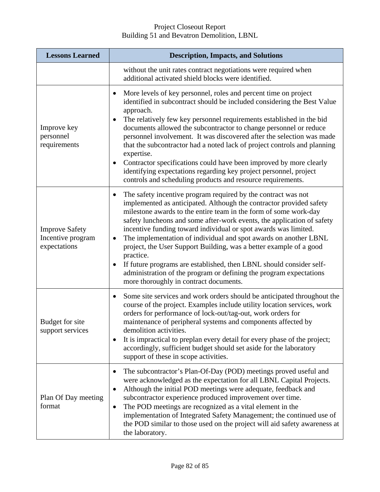| <b>Lessons Learned</b>                                     | <b>Description, Impacts, and Solutions</b>                                                                                                                                                                                                                                                                                                                                                                                                                                                                                                                                                                                                                                                               |
|------------------------------------------------------------|----------------------------------------------------------------------------------------------------------------------------------------------------------------------------------------------------------------------------------------------------------------------------------------------------------------------------------------------------------------------------------------------------------------------------------------------------------------------------------------------------------------------------------------------------------------------------------------------------------------------------------------------------------------------------------------------------------|
|                                                            | without the unit rates contract negotiations were required when<br>additional activated shield blocks were identified.                                                                                                                                                                                                                                                                                                                                                                                                                                                                                                                                                                                   |
| Improve key<br>personnel<br>requirements                   | More levels of key personnel, roles and percent time on project<br>identified in subcontract should be included considering the Best Value<br>approach.<br>The relatively few key personnel requirements established in the bid<br>documents allowed the subcontractor to change personnel or reduce<br>personnel involvement. It was discovered after the selection was made<br>that the subcontractor had a noted lack of project controls and planning<br>expertise.<br>Contractor specifications could have been improved by more clearly<br>identifying expectations regarding key project personnel, project<br>controls and scheduling products and resource requirements.                        |
| <b>Improve Safety</b><br>Incentive program<br>expectations | The safety incentive program required by the contract was not<br>implemented as anticipated. Although the contractor provided safety<br>milestone awards to the entire team in the form of some work-day<br>safety luncheons and some after-work events, the application of safety<br>incentive funding toward individual or spot awards was limited.<br>The implementation of individual and spot awards on another LBNL<br>٠<br>project, the User Support Building, was a better example of a good<br>practice.<br>If future programs are established, then LBNL should consider self-<br>administration of the program or defining the program expectations<br>more thoroughly in contract documents. |
| Budget for site<br>support services                        | Some site services and work orders should be anticipated throughout the<br>$\bullet$<br>course of the project. Examples include utility location services, work<br>orders for performance of lock-out/tag-out, work orders for<br>maintenance of peripheral systems and components affected by<br>demolition activities.<br>It is impractical to preplan every detail for every phase of the project;<br>accordingly, sufficient budget should set aside for the laboratory<br>support of these in scope activities.                                                                                                                                                                                     |
| Plan Of Day meeting<br>format                              | The subcontractor's Plan-Of-Day (POD) meetings proved useful and<br>were acknowledged as the expectation for all LBNL Capital Projects.<br>Although the initial POD meetings were adequate, feedback and<br>subcontractor experience produced improvement over time.<br>The POD meetings are recognized as a vital element in the<br>٠<br>implementation of Integrated Safety Management; the continued use of<br>the POD similar to those used on the project will aid safety awareness at<br>the laboratory.                                                                                                                                                                                           |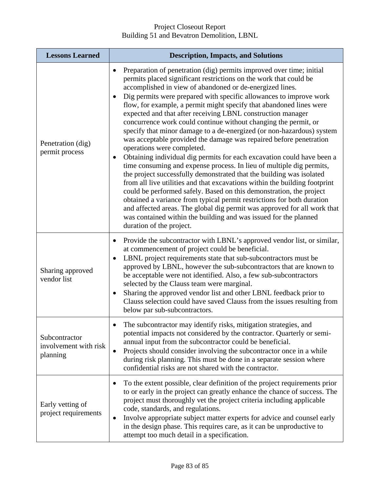| <b>Lessons Learned</b>                             | <b>Description, Impacts, and Solutions</b>                                                                                                                                                                                                                                                                                                                                                                                                                                                                                                                                                                                                                                                                                                                                                                                                                                                                                                                                                                                                                                                                                                                                                                                                                                                             |
|----------------------------------------------------|--------------------------------------------------------------------------------------------------------------------------------------------------------------------------------------------------------------------------------------------------------------------------------------------------------------------------------------------------------------------------------------------------------------------------------------------------------------------------------------------------------------------------------------------------------------------------------------------------------------------------------------------------------------------------------------------------------------------------------------------------------------------------------------------------------------------------------------------------------------------------------------------------------------------------------------------------------------------------------------------------------------------------------------------------------------------------------------------------------------------------------------------------------------------------------------------------------------------------------------------------------------------------------------------------------|
| Penetration (dig)<br>permit process                | Preparation of penetration (dig) permits improved over time; initial<br>permits placed significant restrictions on the work that could be<br>accomplished in view of abandoned or de-energized lines.<br>Dig permits were prepared with specific allowances to improve work<br>flow, for example, a permit might specify that abandoned lines were<br>expected and that after receiving LBNL construction manager<br>concurrence work could continue without changing the permit, or<br>specify that minor damage to a de-energized (or non-hazardous) system<br>was acceptable provided the damage was repaired before penetration<br>operations were completed.<br>Obtaining individual dig permits for each excavation could have been a<br>time consuming and expense process. In lieu of multiple dig permits,<br>the project successfully demonstrated that the building was isolated<br>from all live utilities and that excavations within the building footprint<br>could be performed safely. Based on this demonstration, the project<br>obtained a variance from typical permit restrictions for both duration<br>and affected areas. The global dig permit was approved for all work that<br>was contained within the building and was issued for the planned<br>duration of the project. |
| Sharing approved<br>vendor list                    | Provide the subcontractor with LBNL's approved vendor list, or similar,<br>at commencement of project could be beneficial.<br>LBNL project requirements state that sub-subcontractors must be<br>approved by LBNL, however the sub-subcontractors that are known to<br>be acceptable were not identified. Also, a few sub-subcontractors<br>selected by the Clauss team were marginal.<br>Sharing the approved vendor list and other LBNL feedback prior to<br>$\bullet$<br>Clauss selection could have saved Clauss from the issues resulting from<br>below par sub-subcontractors.                                                                                                                                                                                                                                                                                                                                                                                                                                                                                                                                                                                                                                                                                                                   |
| Subcontractor<br>involvement with risk<br>planning | The subcontractor may identify risks, mitigation strategies, and<br>potential impacts not considered by the contractor. Quarterly or semi-<br>annual input from the subcontractor could be beneficial.<br>Projects should consider involving the subcontractor once in a while<br>$\bullet$<br>during risk planning. This must be done in a separate session where<br>confidential risks are not shared with the contractor.                                                                                                                                                                                                                                                                                                                                                                                                                                                                                                                                                                                                                                                                                                                                                                                                                                                                           |
| Early vetting of<br>project requirements           | To the extent possible, clear definition of the project requirements prior<br>to or early in the project can greatly enhance the chance of success. The<br>project must thoroughly vet the project criteria including applicable<br>code, standards, and regulations.<br>Involve appropriate subject matter experts for advice and counsel early<br>٠<br>in the design phase. This requires care, as it can be unproductive to<br>attempt too much detail in a specification.                                                                                                                                                                                                                                                                                                                                                                                                                                                                                                                                                                                                                                                                                                                                                                                                                          |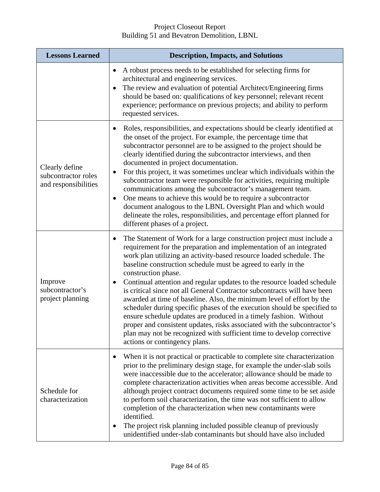| <b>Lessons Learned</b>                                        | <b>Description, Impacts, and Solutions</b>                                                                                                                                                                                                                                                                                                                                                                                                                                                                                                                                                                                                                                                                                                                                                                                                                                         |
|---------------------------------------------------------------|------------------------------------------------------------------------------------------------------------------------------------------------------------------------------------------------------------------------------------------------------------------------------------------------------------------------------------------------------------------------------------------------------------------------------------------------------------------------------------------------------------------------------------------------------------------------------------------------------------------------------------------------------------------------------------------------------------------------------------------------------------------------------------------------------------------------------------------------------------------------------------|
|                                                               | A robust process needs to be established for selecting firms for<br>$\bullet$<br>architectural and engineering services.<br>The review and evaluation of potential Architect/Engineering firms<br>should be based on: qualifications of key personnel; relevant recent<br>experience; performance on previous projects; and ability to perform<br>requested services.                                                                                                                                                                                                                                                                                                                                                                                                                                                                                                              |
| Clearly define<br>subcontractor roles<br>and responsibilities | Roles, responsibilities, and expectations should be clearly identified at<br>the onset of the project. For example, the percentage time that<br>subcontractor personnel are to be assigned to the project should be<br>clearly identified during the subcontractor interviews, and then<br>documented in project documentation.<br>For this project, it was sometimes unclear which individuals within the<br>$\bullet$<br>subcontractor team were responsible for activities, requiring multiple<br>communications among the subcontractor's management team.<br>One means to achieve this would be to require a subcontractor<br>$\bullet$<br>document analogous to the LBNL Oversight Plan and which would<br>delineate the roles, responsibilities, and percentage effort planned for<br>different phases of a project.                                                        |
| Improve<br>subcontractor's<br>project planning                | The Statement of Work for a large construction project must include a<br>requirement for the preparation and implementation of an integrated<br>work plan utilizing an activity-based resource loaded schedule. The<br>baseline construction schedule must be agreed to early in the<br>construction phase.<br>Continual attention and regular updates to the resource loaded schedule<br>is critical since not all General Contractor subcontracts will have been<br>awarded at time of baseline. Also, the minimum level of effort by the<br>scheduler during specific phases of the execution should be specified to<br>ensure schedule updates are produced in a timely fashion. Without<br>proper and consistent updates, risks associated with the subcontractor's<br>plan may not be recognized with sufficient time to develop corrective<br>actions or contingency plans. |
| Schedule for<br>characterization                              | When it is not practical or practicable to complete site characterization<br>prior to the preliminary design stage, for example the under-slab soils<br>were inaccessible due to the accelerator; allowance should be made to<br>complete characterization activities when areas become accessible. And<br>although project contract documents required some time to be set aside<br>to perform soil characterization, the time was not sufficient to allow<br>completion of the characterization when new contaminants were<br>identified.<br>The project risk planning included possible cleanup of previously<br>$\bullet$<br>unidentified under-slab contaminants but should have also included                                                                                                                                                                                |